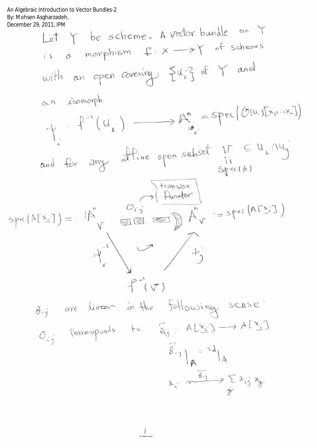An Algebraic Introduction to Vector Bundles-2<br>By: Mohsen Asgharzadeh,<br>December 29, 2011, IPM

December 29.2011, IBM  
\nLet Y be scheme. A vector bundle on Y  
\nif s a morphism 
$$
f: X \longrightarrow Y
$$
 of schemes  
\nwith an open covering  $\{u_i\}$  of Y and  
\n $\alpha$ n *izomorph*.  
\n $\gamma$ :  $f^{-1}(U_i) \longrightarrow M_i^m = \text{Spec}[(O(u_i)[X_i, X_i])$   
\nand for any affine open subset  $\eta$  if  $\in U_i \cap U_j$   
\n $\vdots$   
\n $\alpha$  and for any affine open subset  $\eta$  if  $\in U_i \cap U_j$   
\n $\vdots$   
\n $\beta$  and  $\beta$  or  $\beta$  if  $\beta$  and  $\beta$  for  $i = spec(AfX_i)$   
\n $\vdots$   
\n $\beta$  and  $\beta$  are linear in the following sense:  
\n $\beta$  and  $\beta$  are linear in the following sense:  
\n $\beta$  and  $\beta$  are linear in the following sense:  
\n $\beta$  and  $\beta$  are linear in the following sense:  
\n $\beta$  and  $\beta$  are linear in the following sense:  
\n $\beta$  and  $\beta$  are linear in the following series:  
\n $\beta$  and  $\beta$  are linear in the following series:  
\n $\beta$  and  $\beta$  are linear in the following series:  
\n $\beta$  and  $\beta$  are linear in the following series:  
\n $\beta$  and  $\beta$  are linear in the following series:  
\n $\beta$  and  $\beta$  are linear in the following series:  
\n $\beta$  and  $\beta$  are linear in the following series:  
\n $\beta$  and  $\beta$  are linear in the following series:  
\n $\beta$  and  $\beta$  are linear in the following series:  
\n $\beta$  and  $\beta$  are linear in the following series:  
\n $\beta$  and  $\beta$  are linear in the following series:  
\n $\beta$  and  $\beta$  are linear in the following series:  
\n $\beta$  and  $\beta$  are linear in the following series:  
\n $\beta$  and  $\beta$  are linear in the following series: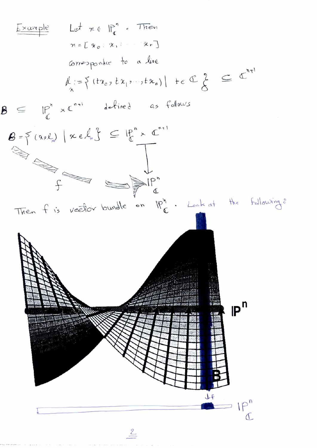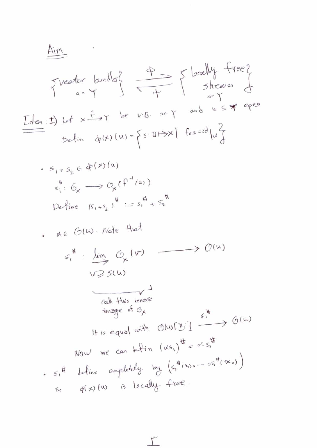$\Upsilon$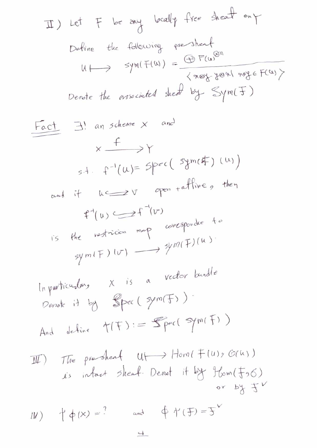\n
$$
\text{If } \begin{bmatrix} \text{let } F & \text{be any } \text{ } \text{be all } F \text{ (the following } \text{the sheaf on } F \text{)} \end{bmatrix}
$$
\n

\n\n
$$
\text{Define the following } \text{newstate}
$$
\n

\n\n
$$
\text{We have } \text{the associated } \text{the } F \text{ (the following } F \text{ (the following } F \text{ (the following } F \text{ (the following } F \text{ (the following } F \text{ (the following } F \text{ (the image } F \text{ (the image } F \text{ (the image } F \text{ (the image } F \text{ (the image } F \text{ (the image } F \text{ (the image } F \text{ (the image } F \text{ (the image } F \text{ (the image } F \text{ (the image } F \text{ (the image } F \text{ (the image } F \text{ (the image } F \text{ (the image } F \text{ (the image } F \text{ (the image } F \text{ (the image } F \text{ (the image } F \text{ (the image } F \text{ (the image } F \text{ (the image } F \text{ (the image } F \text{ (the image } F \text{ (the image } F \text{ (the image } F \text{ (the image } F \text{ (the image } F \text{ (the image } F \text{ (the image } F \text{ (the image } F \text{ (the image } F \text{ (the image } F \text{ (the image } F \text{ (the image } F \text{ (the image } F \text{ (the image } F \text{ (the image } F \text{ (the image } F \text{ (the image } F \text{ (the image } F \text{ (the image } F \text{ (the image } F \text{ (the image } F \text{ (the image } F \text{ (the image } F \text{ (the image } F \text{ (the image } F \text{ (the image } F \text{ (the image } F \text{ (the image } F \text{ (the image } F \text{ (the image } F \text{ (the image } F \text{ (the image } F \text{ (the image } F \text{ (the image } F \text{ (the image } F \text{ (the image } F \text{ (the image } F \text{ (the image } F \text{ (the image } F \text{ (the image } F \text{ (the image } F \text{ (the image } F \text{ (the image } F \text{ (the image } F \text{ (the image } F \text{ (the image } F \text{ (the image } F \text{ (the image } F \text{ (the image } F \text{ (the image } F \
$$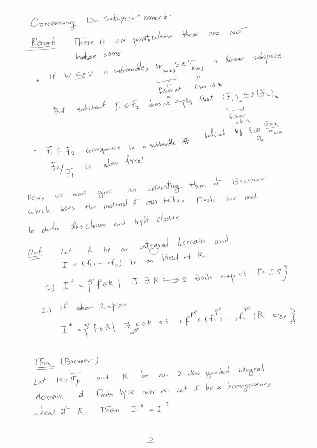Then (Brennov)

\nLet 
$$
K:=\overline{IFp}
$$
 and  $R$  be an 2-dim graded integral domain of  $f$  in the Type over  $K$ . Let  $T$  be a homogeneous ideal of  $R$ . Then  $T^* = T$